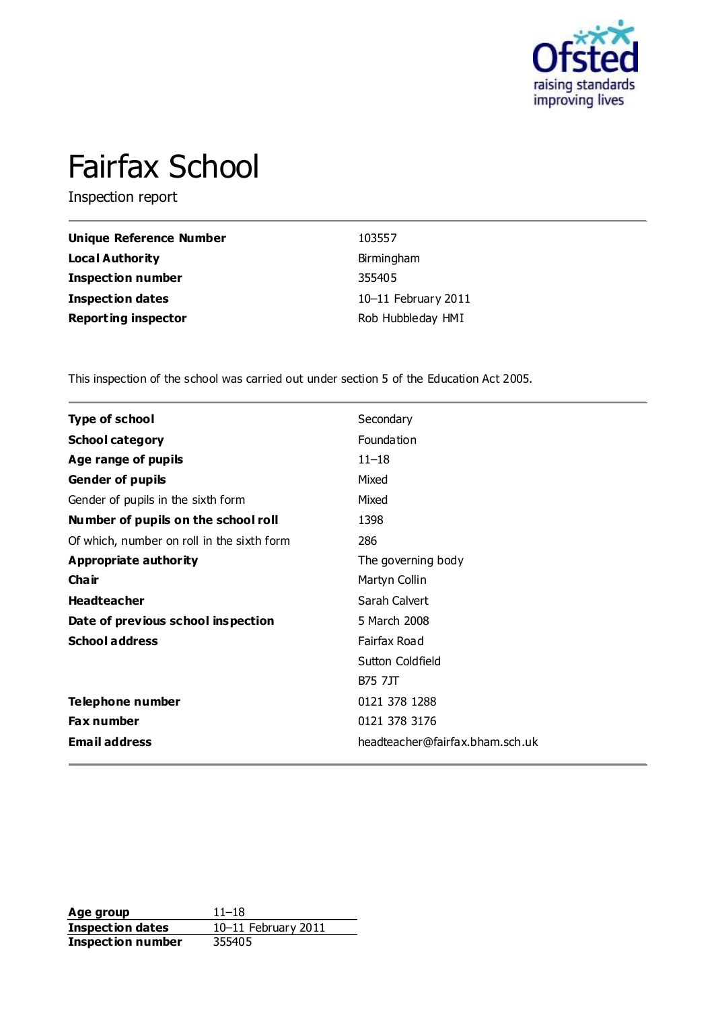

# Fairfax School

Inspection report

| Unique Reference Number    | 103557              |
|----------------------------|---------------------|
| <b>Local Authority</b>     | Birmingham          |
| <b>Inspection number</b>   | 355405              |
| <b>Inspection dates</b>    | 10-11 February 2011 |
| <b>Reporting inspector</b> | Rob Hubbleday HMI   |

This inspection of the school was carried out under section 5 of the Education Act 2005.

| Secondary                       |
|---------------------------------|
| Foundation                      |
| $11 - 18$                       |
| Mixed                           |
| Mixed                           |
| 1398                            |
| 286                             |
| The governing body              |
| Martyn Collin                   |
| Sarah Calvert                   |
| 5 March 2008                    |
| Fairfax Road                    |
| Sutton Coldfield                |
| <b>B75 7JT</b>                  |
| 0121 378 1288                   |
| 0121 378 3176                   |
| headteacher@fairfax.bham.sch.uk |
|                                 |

**Age group** 11–18<br> **Inspection dates** 10–11 February 2011 **Inspection dates** 10–11 February 2011 **Inspection number** 355405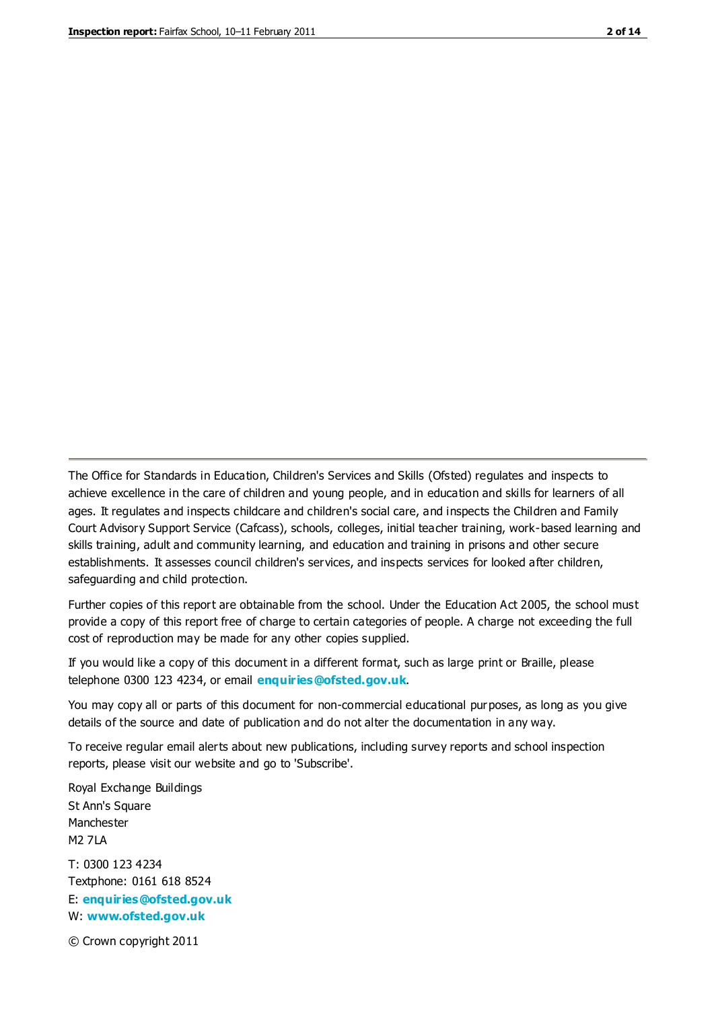The Office for Standards in Education, Children's Services and Skills (Ofsted) regulates and inspects to achieve excellence in the care of children and young people, and in education and skills for learners of all ages. It regulates and inspects childcare and children's social care, and inspects the Children and Family Court Advisory Support Service (Cafcass), schools, colleges, initial teacher training, work-based learning and skills training, adult and community learning, and education and training in prisons and other secure establishments. It assesses council children's services, and inspects services for looked after children, safeguarding and child protection.

Further copies of this report are obtainable from the school. Under the Education Act 2005, the school must provide a copy of this report free of charge to certain categories of people. A charge not exceeding the full cost of reproduction may be made for any other copies supplied.

If you would like a copy of this document in a different format, such as large print or Braille, please telephone 0300 123 4234, or email **[enquiries@ofsted.gov.uk](mailto:enquiries@ofsted.gov.uk)**.

You may copy all or parts of this document for non-commercial educational purposes, as long as you give details of the source and date of publication and do not alter the documentation in any way.

To receive regular email alerts about new publications, including survey reports and school inspection reports, please visit our website and go to 'Subscribe'.

Royal Exchange Buildings St Ann's Square Manchester M2 7LA T: 0300 123 4234 Textphone: 0161 618 8524 E: **[enquiries@ofsted.gov.uk](mailto:enquiries@ofsted.gov.uk)**

W: **[www.ofsted.gov.uk](http://www.ofsted.gov.uk/)**

© Crown copyright 2011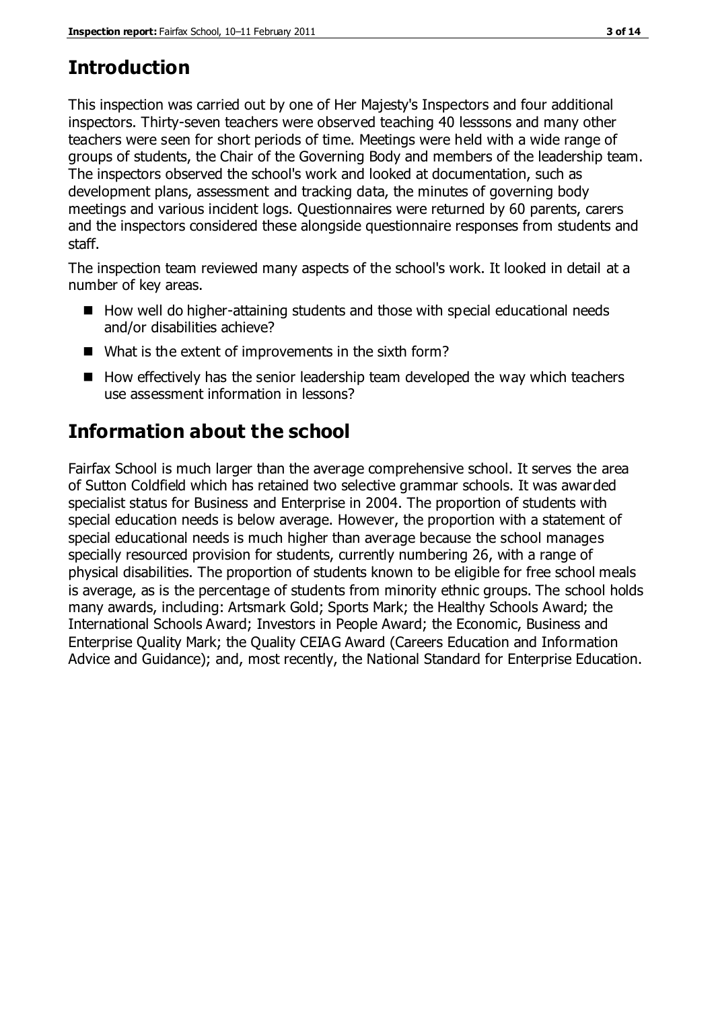## **Introduction**

This inspection was carried out by one of Her Majesty's Inspectors and four additional inspectors. Thirty-seven teachers were observed teaching 40 lesssons and many other teachers were seen for short periods of time. Meetings were held with a wide range of groups of students, the Chair of the Governing Body and members of the leadership team. The inspectors observed the school's work and looked at documentation, such as development plans, assessment and tracking data, the minutes of governing body meetings and various incident logs. Questionnaires were returned by 60 parents, carers and the inspectors considered these alongside questionnaire responses from students and staff.

The inspection team reviewed many aspects of the school's work. It looked in detail at a number of key areas.

- $\blacksquare$  How well do higher-attaining students and those with special educational needs and/or disabilities achieve?
- What is the extent of improvements in the sixth form?
- $\blacksquare$  How effectively has the senior leadership team developed the way which teachers use assessment information in lessons?

## **Information about the school**

Fairfax School is much larger than the average comprehensive school. It serves the area of Sutton Coldfield which has retained two selective grammar schools. It was awarded specialist status for Business and Enterprise in 2004. The proportion of students with special education needs is below average. However, the proportion with a statement of special educational needs is much higher than average because the school manages specially resourced provision for students, currently numbering 26, with a range of physical disabilities. The proportion of students known to be eligible for free school meals is average, as is the percentage of students from minority ethnic groups. The school holds many awards, including: Artsmark Gold; Sports Mark; the Healthy Schools Award; the International Schools Award; Investors in People Award; the Economic, Business and Enterprise Quality Mark; the Quality CEIAG Award (Careers Education and Information Advice and Guidance); and, most recently, the National Standard for Enterprise Education.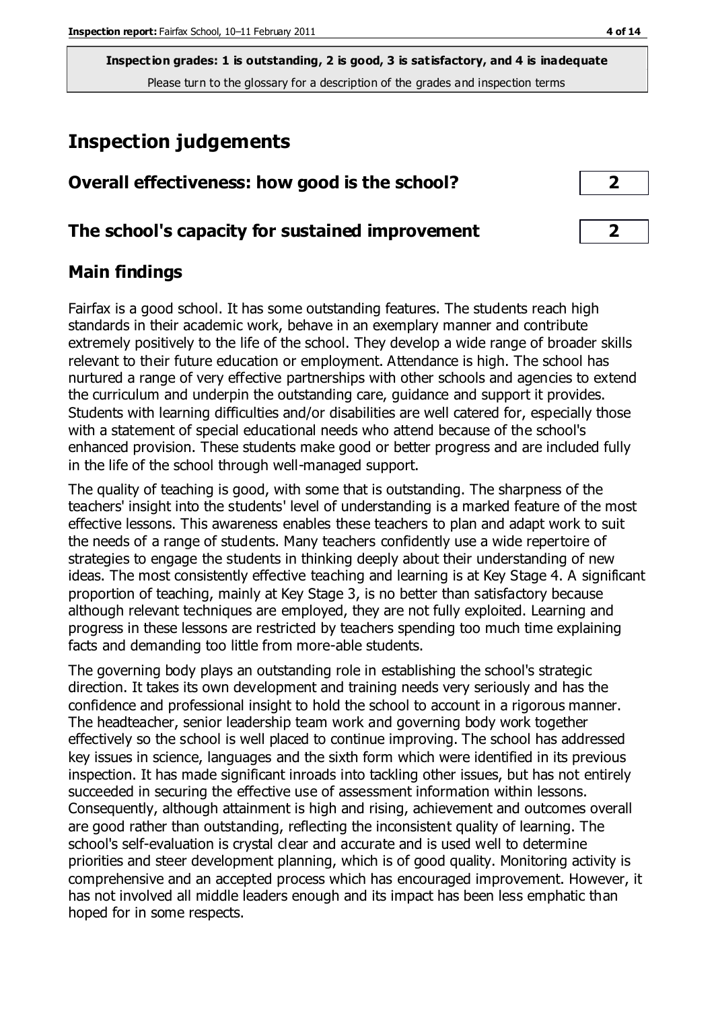**Inspection grades: 1 is outstanding, 2 is good, 3 is satisfactory, and 4 is inadequate** Please turn to the glossary for a description of the grades and inspection terms

## **Inspection judgements**

| Overall effectiveness: how good is the school? |  |
|------------------------------------------------|--|
|------------------------------------------------|--|

## **The school's capacity for sustained improvement 2**

## **Main findings**

Fairfax is a good school. It has some outstanding features. The students reach high standards in their academic work, behave in an exemplary manner and contribute extremely positively to the life of the school. They develop a wide range of broader skills relevant to their future education or employment. Attendance is high. The school has nurtured a range of very effective partnerships with other schools and agencies to extend the curriculum and underpin the outstanding care, guidance and support it provides. Students with learning difficulties and/or disabilities are well catered for, especially those with a statement of special educational needs who attend because of the school's enhanced provision. These students make good or better progress and are included fully in the life of the school through well-managed support.

The quality of teaching is good, with some that is outstanding. The sharpness of the teachers' insight into the students' level of understanding is a marked feature of the most effective lessons. This awareness enables these teachers to plan and adapt work to suit the needs of a range of students. Many teachers confidently use a wide repertoire of strategies to engage the students in thinking deeply about their understanding of new ideas. The most consistently effective teaching and learning is at Key Stage 4. A significant proportion of teaching, mainly at Key Stage 3, is no better than satisfactory because although relevant techniques are employed, they are not fully exploited. Learning and progress in these lessons are restricted by teachers spending too much time explaining facts and demanding too little from more-able students.

The governing body plays an outstanding role in establishing the school's strategic direction. It takes its own development and training needs very seriously and has the confidence and professional insight to hold the school to account in a rigorous manner. The headteacher, senior leadership team work and governing body work together effectively so the school is well placed to continue improving. The school has addressed key issues in science, languages and the sixth form which were identified in its previous inspection. It has made significant inroads into tackling other issues, but has not entirely succeeded in securing the effective use of assessment information within lessons. Consequently, although attainment is high and rising, achievement and outcomes overall are good rather than outstanding, reflecting the inconsistent quality of learning. The school's self-evaluation is crystal clear and accurate and is used well to determine priorities and steer development planning, which is of good quality. Monitoring activity is comprehensive and an accepted process which has encouraged improvement. However, it has not involved all middle leaders enough and its impact has been less emphatic than hoped for in some respects.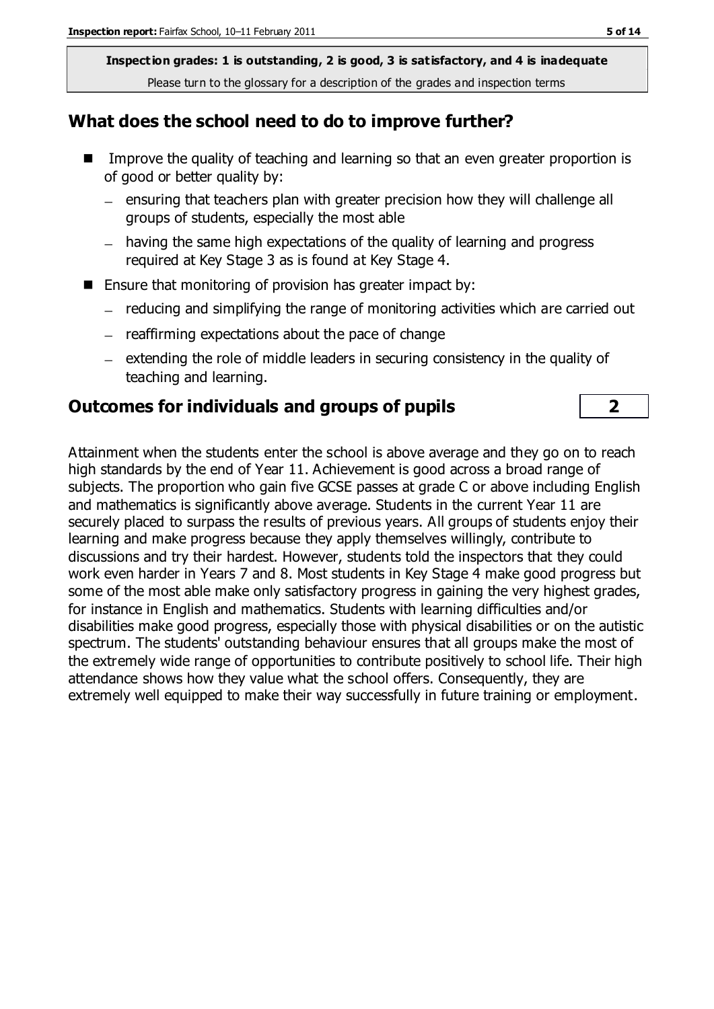**Inspection grades: 1 is outstanding, 2 is good, 3 is satisfactory, and 4 is inadequate** Please turn to the glossary for a description of the grades and inspection terms

### **What does the school need to do to improve further?**

- Improve the quality of teaching and learning so that an even greater proportion is of good or better quality by:
	- $-$  ensuring that teachers plan with greater precision how they will challenge all groups of students, especially the most able
	- having the same high expectations of the quality of learning and progress required at Key Stage 3 as is found at Key Stage 4.
- Ensure that monitoring of provision has greater impact by:
	- reducing and simplifying the range of monitoring activities which are carried out
	- $-$  reaffirming expectations about the pace of change
	- $-$  extending the role of middle leaders in securing consistency in the quality of teaching and learning.

## **Outcomes for individuals and groups of pupils 2**

Attainment when the students enter the school is above average and they go on to reach high standards by the end of Year 11. Achievement is good across a broad range of subjects. The proportion who gain five GCSE passes at grade C or above including English and mathematics is significantly above average. Students in the current Year 11 are securely placed to surpass the results of previous years. All groups of students enjoy their learning and make progress because they apply themselves willingly, contribute to discussions and try their hardest. However, students told the inspectors that they could work even harder in Years 7 and 8. Most students in Key Stage 4 make good progress but some of the most able make only satisfactory progress in gaining the very highest grades, for instance in English and mathematics. Students with learning difficulties and/or disabilities make good progress, especially those with physical disabilities or on the autistic spectrum. The students' outstanding behaviour ensures that all groups make the most of the extremely wide range of opportunities to contribute positively to school life. Their high attendance shows how they value what the school offers. Consequently, they are extremely well equipped to make their way successfully in future training or employment.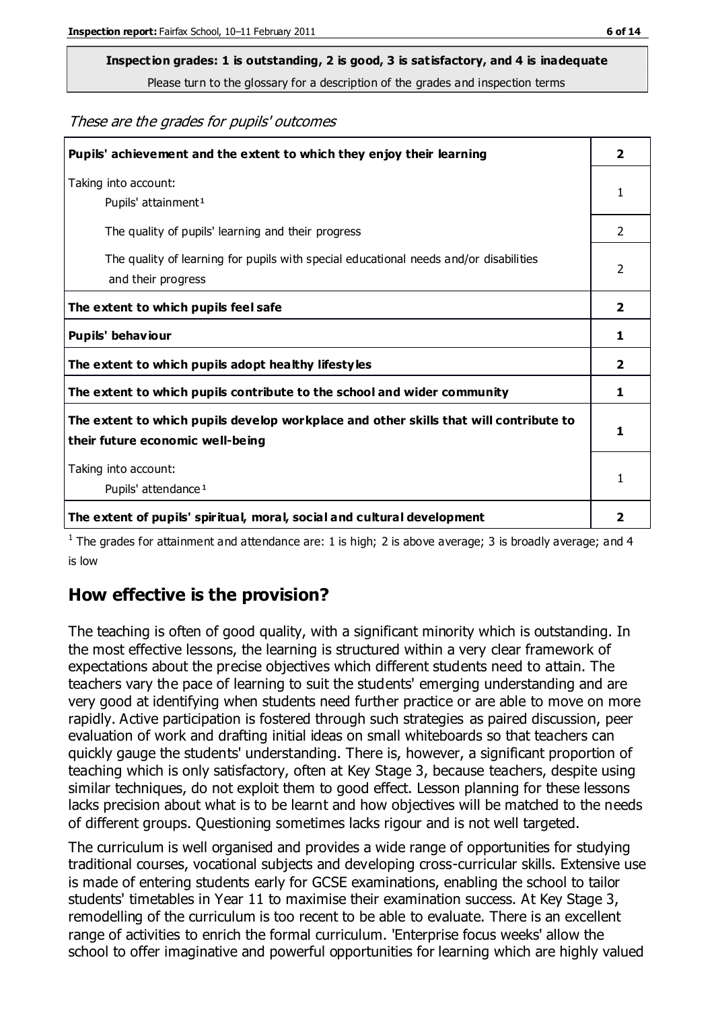Please turn to the glossary for a description of the grades and inspection terms

These are the grades for pupils' outcomes

| Pupils' achievement and the extent to which they enjoy their learning                                                     | $\overline{2}$ |
|---------------------------------------------------------------------------------------------------------------------------|----------------|
| Taking into account:<br>Pupils' attainment <sup>1</sup>                                                                   | 1              |
| The quality of pupils' learning and their progress                                                                        | $\mathcal{P}$  |
| The quality of learning for pupils with special educational needs and/or disabilities<br>and their progress               | $\overline{2}$ |
| The extent to which pupils feel safe                                                                                      |                |
| Pupils' behaviour                                                                                                         | 1              |
| The extent to which pupils adopt healthy lifestyles                                                                       | 2              |
| The extent to which pupils contribute to the school and wider community                                                   | 1              |
| The extent to which pupils develop workplace and other skills that will contribute to<br>their future economic well-being |                |
| Taking into account:                                                                                                      |                |
| Pupils' attendance <sup>1</sup>                                                                                           | 1              |
| The extent of pupils' spiritual, moral, social and cultural development                                                   | 2              |

<sup>1</sup> The grades for attainment and attendance are: 1 is high; 2 is above average; 3 is broadly average; and 4 is low

## **How effective is the provision?**

The teaching is often of good quality, with a significant minority which is outstanding. In the most effective lessons, the learning is structured within a very clear framework of expectations about the precise objectives which different students need to attain. The teachers vary the pace of learning to suit the students' emerging understanding and are very good at identifying when students need further practice or are able to move on more rapidly. Active participation is fostered through such strategies as paired discussion, peer evaluation of work and drafting initial ideas on small whiteboards so that teachers can quickly gauge the students' understanding. There is, however, a significant proportion of teaching which is only satisfactory, often at Key Stage 3, because teachers, despite using similar techniques, do not exploit them to good effect. Lesson planning for these lessons lacks precision about what is to be learnt and how objectives will be matched to the needs of different groups. Questioning sometimes lacks rigour and is not well targeted.

The curriculum is well organised and provides a wide range of opportunities for studying traditional courses, vocational subjects and developing cross-curricular skills. Extensive use is made of entering students early for GCSE examinations, enabling the school to tailor students' timetables in Year 11 to maximise their examination success. At Key Stage 3, remodelling of the curriculum is too recent to be able to evaluate. There is an excellent range of activities to enrich the formal curriculum. 'Enterprise focus weeks' allow the school to offer imaginative and powerful opportunities for learning which are highly valued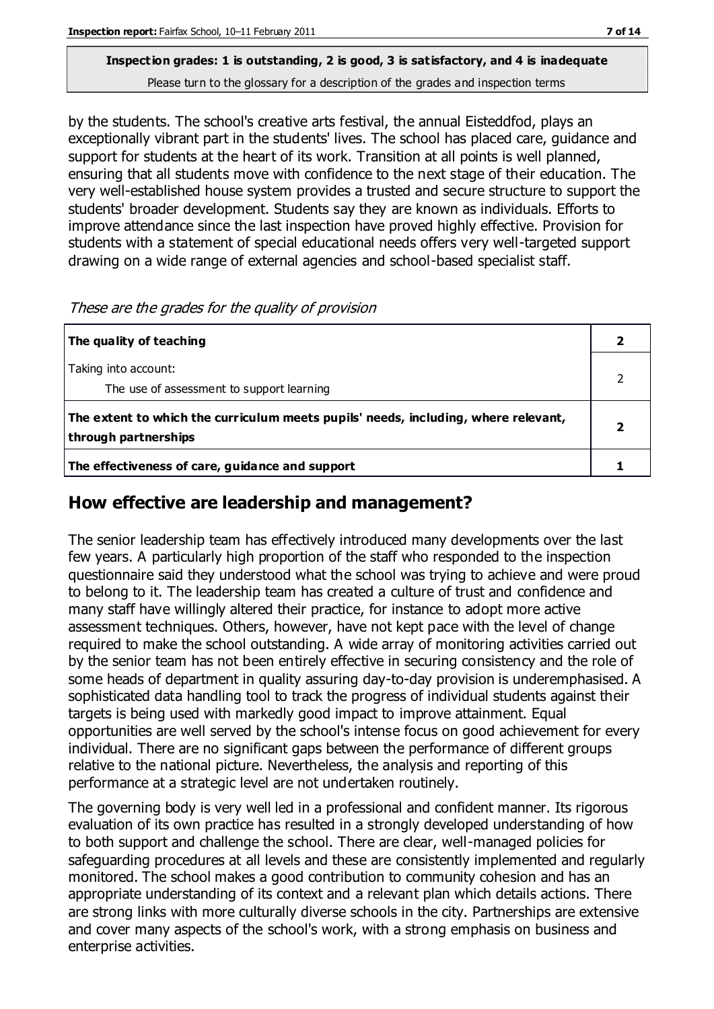Please turn to the glossary for a description of the grades and inspection terms

by the students. The school's creative arts festival, the annual Eisteddfod, plays an exceptionally vibrant part in the students' lives. The school has placed care, guidance and support for students at the heart of its work. Transition at all points is well planned, ensuring that all students move with confidence to the next stage of their education. The very well-established house system provides a trusted and secure structure to support the students' broader development. Students say they are known as individuals. Efforts to improve attendance since the last inspection have proved highly effective. Provision for students with a statement of special educational needs offers very well-targeted support drawing on a wide range of external agencies and school-based specialist staff.

| The quality of teaching                                                                                    |  |
|------------------------------------------------------------------------------------------------------------|--|
| Taking into account:<br>The use of assessment to support learning                                          |  |
| The extent to which the curriculum meets pupils' needs, including, where relevant,<br>through partnerships |  |
| The effectiveness of care, guidance and support                                                            |  |

These are the grades for the quality of provision

## **How effective are leadership and management?**

The senior leadership team has effectively introduced many developments over the last few years. A particularly high proportion of the staff who responded to the inspection questionnaire said they understood what the school was trying to achieve and were proud to belong to it. The leadership team has created a culture of trust and confidence and many staff have willingly altered their practice, for instance to adopt more active assessment techniques. Others, however, have not kept pace with the level of change required to make the school outstanding. A wide array of monitoring activities carried out by the senior team has not been entirely effective in securing consistency and the role of some heads of department in quality assuring day-to-day provision is underemphasised. A sophisticated data handling tool to track the progress of individual students against their targets is being used with markedly good impact to improve attainment. Equal opportunities are well served by the school's intense focus on good achievement for every individual. There are no significant gaps between the performance of different groups relative to the national picture. Nevertheless, the analysis and reporting of this performance at a strategic level are not undertaken routinely.

The governing body is very well led in a professional and confident manner. Its rigorous evaluation of its own practice has resulted in a strongly developed understanding of how to both support and challenge the school. There are clear, well-managed policies for safeguarding procedures at all levels and these are consistently implemented and regularly monitored. The school makes a good contribution to community cohesion and has an appropriate understanding of its context and a relevant plan which details actions. There are strong links with more culturally diverse schools in the city. Partnerships are extensive and cover many aspects of the school's work, with a strong emphasis on business and enterprise activities.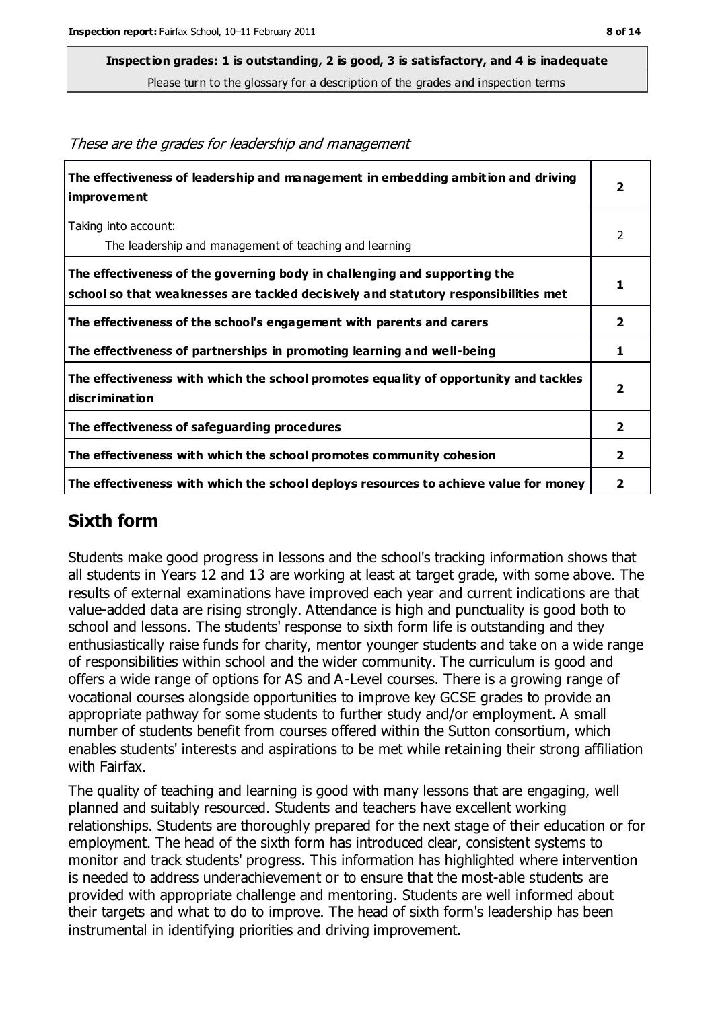Please turn to the glossary for a description of the grades and inspection terms

| The effectiveness of leadership and management in embedding ambition and driving<br>improvement                                                                  | $\overline{\mathbf{2}}$ |
|------------------------------------------------------------------------------------------------------------------------------------------------------------------|-------------------------|
| Taking into account:<br>The leadership and management of teaching and learning                                                                                   | 2                       |
|                                                                                                                                                                  |                         |
| The effectiveness of the governing body in challenging and supporting the<br>school so that weaknesses are tackled decisively and statutory responsibilities met | 1                       |
| The effectiveness of the school's engagement with parents and carers                                                                                             | $\overline{2}$          |
| The effectiveness of partnerships in promoting learning and well-being                                                                                           | 1                       |
| The effectiveness with which the school promotes equality of opportunity and tackles<br>discrimination                                                           | $\overline{2}$          |
| The effectiveness of safeguarding procedures                                                                                                                     | $\overline{2}$          |
| The effectiveness with which the school promotes community cohesion                                                                                              | $\mathbf{2}$            |
| The effectiveness with which the school deploys resources to achieve value for money                                                                             |                         |

#### These are the grades for leadership and management

## **Sixth form**

Students make good progress in lessons and the school's tracking information shows that all students in Years 12 and 13 are working at least at target grade, with some above. The results of external examinations have improved each year and current indications are that value-added data are rising strongly. Attendance is high and punctuality is good both to school and lessons. The students' response to sixth form life is outstanding and they enthusiastically raise funds for charity, mentor younger students and take on a wide range of responsibilities within school and the wider community. The curriculum is good and offers a wide range of options for AS and A-Level courses. There is a growing range of vocational courses alongside opportunities to improve key GCSE grades to provide an appropriate pathway for some students to further study and/or employment. A small number of students benefit from courses offered within the Sutton consortium, which enables students' interests and aspirations to be met while retaining their strong affiliation with Fairfax.

The quality of teaching and learning is good with many lessons that are engaging, well planned and suitably resourced. Students and teachers have excellent working relationships. Students are thoroughly prepared for the next stage of their education or for employment. The head of the sixth form has introduced clear, consistent systems to monitor and track students' progress. This information has highlighted where intervention is needed to address underachievement or to ensure that the most-able students are provided with appropriate challenge and mentoring. Students are well informed about their targets and what to do to improve. The head of sixth form's leadership has been instrumental in identifying priorities and driving improvement.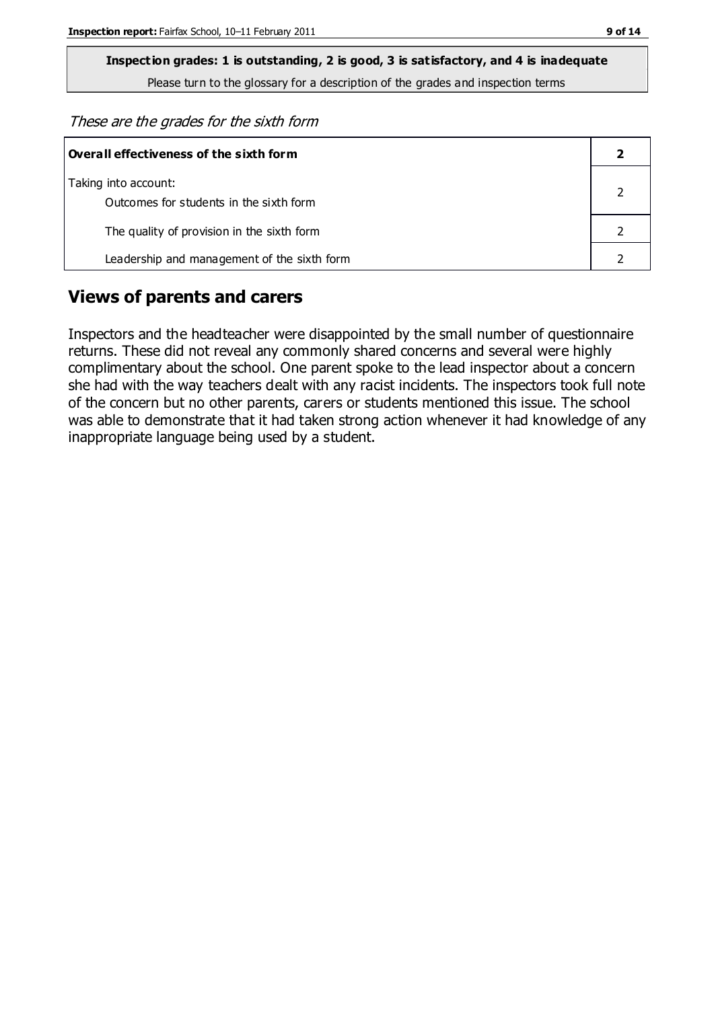Please turn to the glossary for a description of the grades and inspection terms

These are the grades for the sixth form

| Overall effectiveness of the sixth form                         |  |  |
|-----------------------------------------------------------------|--|--|
| Taking into account:<br>Outcomes for students in the sixth form |  |  |
| The quality of provision in the sixth form                      |  |  |
| Leadership and management of the sixth form                     |  |  |

## **Views of parents and carers**

Inspectors and the headteacher were disappointed by the small number of questionnaire returns. These did not reveal any commonly shared concerns and several were highly complimentary about the school. One parent spoke to the lead inspector about a concern she had with the way teachers dealt with any racist incidents. The inspectors took full note of the concern but no other parents, carers or students mentioned this issue. The school was able to demonstrate that it had taken strong action whenever it had knowledge of any inappropriate language being used by a student.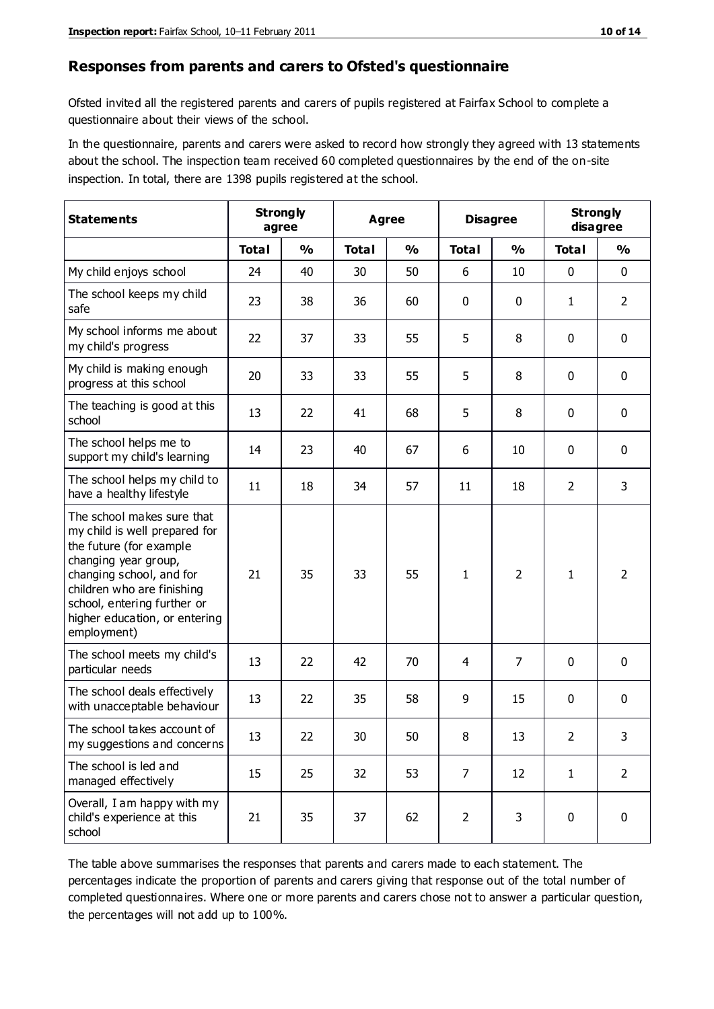#### **Responses from parents and carers to Ofsted's questionnaire**

Ofsted invited all the registered parents and carers of pupils registered at Fairfax School to complete a questionnaire about their views of the school.

In the questionnaire, parents and carers were asked to record how strongly they agreed with 13 statements about the school. The inspection team received 60 completed questionnaires by the end of the on-site inspection. In total, there are 1398 pupils registered at the school.

| <b>Statements</b>                                                                                                                                                                                                                                       | <b>Strongly</b><br>agree |               | <b>Agree</b> |               |                | <b>Disagree</b> |                | <b>Strongly</b><br>disagree |  |
|---------------------------------------------------------------------------------------------------------------------------------------------------------------------------------------------------------------------------------------------------------|--------------------------|---------------|--------------|---------------|----------------|-----------------|----------------|-----------------------------|--|
|                                                                                                                                                                                                                                                         | <b>Total</b>             | $\frac{0}{0}$ | <b>Total</b> | $\frac{0}{0}$ | <b>Total</b>   | $\frac{0}{0}$   | <b>Total</b>   | $\frac{0}{0}$               |  |
| My child enjoys school                                                                                                                                                                                                                                  | 24                       | 40            | 30           | 50            | 6              | 10              | 0              | $\mathbf 0$                 |  |
| The school keeps my child<br>safe                                                                                                                                                                                                                       | 23                       | 38            | 36           | 60            | 0              | $\mathbf 0$     | $\mathbf{1}$   | $\overline{2}$              |  |
| My school informs me about<br>my child's progress                                                                                                                                                                                                       | 22                       | 37            | 33           | 55            | 5              | 8               | $\mathbf 0$    | $\mathbf 0$                 |  |
| My child is making enough<br>progress at this school                                                                                                                                                                                                    | 20                       | 33            | 33           | 55            | 5              | 8               | 0              | $\mathbf 0$                 |  |
| The teaching is good at this<br>school                                                                                                                                                                                                                  | 13                       | 22            | 41           | 68            | 5              | 8               | 0              | $\mathbf 0$                 |  |
| The school helps me to<br>support my child's learning                                                                                                                                                                                                   | 14                       | 23            | 40           | 67            | 6              | 10              | 0              | $\mathbf 0$                 |  |
| The school helps my child to<br>have a healthy lifestyle                                                                                                                                                                                                | 11                       | 18            | 34           | 57            | 11             | 18              | $\overline{2}$ | 3                           |  |
| The school makes sure that<br>my child is well prepared for<br>the future (for example<br>changing year group,<br>changing school, and for<br>children who are finishing<br>school, entering further or<br>higher education, or entering<br>employment) | 21                       | 35            | 33           | 55            | $\mathbf{1}$   | $\overline{2}$  | $\mathbf{1}$   | $\overline{2}$              |  |
| The school meets my child's<br>particular needs                                                                                                                                                                                                         | 13                       | 22            | 42           | 70            | 4              | $\overline{7}$  | $\mathbf 0$    | $\mathbf 0$                 |  |
| The school deals effectively<br>with unacceptable behaviour                                                                                                                                                                                             | 13                       | 22            | 35           | 58            | 9              | 15              | 0              | $\pmb{0}$                   |  |
| The school takes account of<br>my suggestions and concerns                                                                                                                                                                                              | 13                       | 22            | 30           | 50            | 8              | 13              | $\overline{2}$ | 3                           |  |
| The school is led and<br>managed effectively                                                                                                                                                                                                            | 15                       | 25            | 32           | 53            | $\overline{7}$ | 12              | $\mathbf{1}$   | $\overline{2}$              |  |
| Overall, I am happy with my<br>child's experience at this<br>school                                                                                                                                                                                     | 21                       | 35            | 37           | 62            | $\overline{2}$ | 3               | $\mathbf 0$    | $\mathbf 0$                 |  |

The table above summarises the responses that parents and carers made to each statement. The percentages indicate the proportion of parents and carers giving that response out of the total number of completed questionnaires. Where one or more parents and carers chose not to answer a particular question, the percentages will not add up to 100%.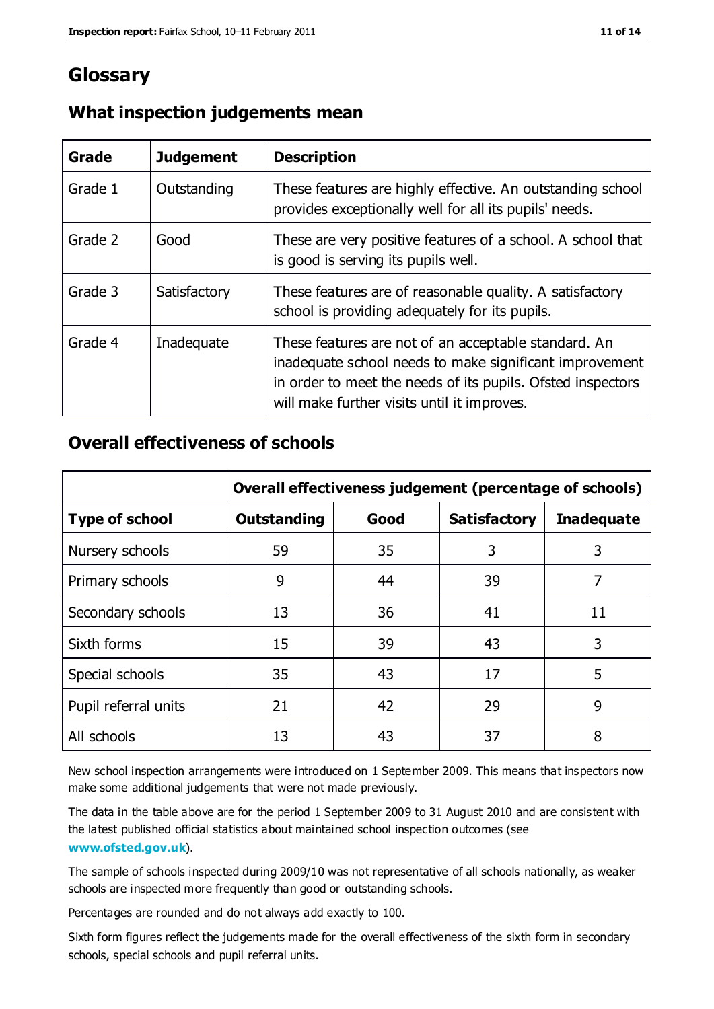## **Glossary**

| Grade   | <b>Judgement</b> | <b>Description</b>                                                                                                                                                                                                            |
|---------|------------------|-------------------------------------------------------------------------------------------------------------------------------------------------------------------------------------------------------------------------------|
| Grade 1 | Outstanding      | These features are highly effective. An outstanding school<br>provides exceptionally well for all its pupils' needs.                                                                                                          |
| Grade 2 | Good             | These are very positive features of a school. A school that<br>is good is serving its pupils well.                                                                                                                            |
| Grade 3 | Satisfactory     | These features are of reasonable quality. A satisfactory<br>school is providing adequately for its pupils.                                                                                                                    |
| Grade 4 | Inadequate       | These features are not of an acceptable standard. An<br>inadequate school needs to make significant improvement<br>in order to meet the needs of its pupils. Ofsted inspectors<br>will make further visits until it improves. |

## **What inspection judgements mean**

## **Overall effectiveness of schools**

|                       | Overall effectiveness judgement (percentage of schools) |      |                     |                   |
|-----------------------|---------------------------------------------------------|------|---------------------|-------------------|
| <b>Type of school</b> | <b>Outstanding</b>                                      | Good | <b>Satisfactory</b> | <b>Inadequate</b> |
| Nursery schools       | 59                                                      | 35   | 3                   | 3                 |
| Primary schools       | 9                                                       | 44   | 39                  | 7                 |
| Secondary schools     | 13                                                      | 36   | 41                  | 11                |
| Sixth forms           | 15                                                      | 39   | 43                  | 3                 |
| Special schools       | 35                                                      | 43   | 17                  | 5                 |
| Pupil referral units  | 21                                                      | 42   | 29                  | 9                 |
| All schools           | 13                                                      | 43   | 37                  | 8                 |

New school inspection arrangements were introduced on 1 September 2009. This means that inspectors now make some additional judgements that were not made previously.

The data in the table above are for the period 1 September 2009 to 31 August 2010 and are consistent with the latest published official statistics about maintained school inspection outcomes (see **[www.ofsted.gov.uk](http://www.ofsted.gov.uk/)**).

The sample of schools inspected during 2009/10 was not representative of all schools nationally, as weaker schools are inspected more frequently than good or outstanding schools.

Percentages are rounded and do not always add exactly to 100.

Sixth form figures reflect the judgements made for the overall effectiveness of the sixth form in secondary schools, special schools and pupil referral units.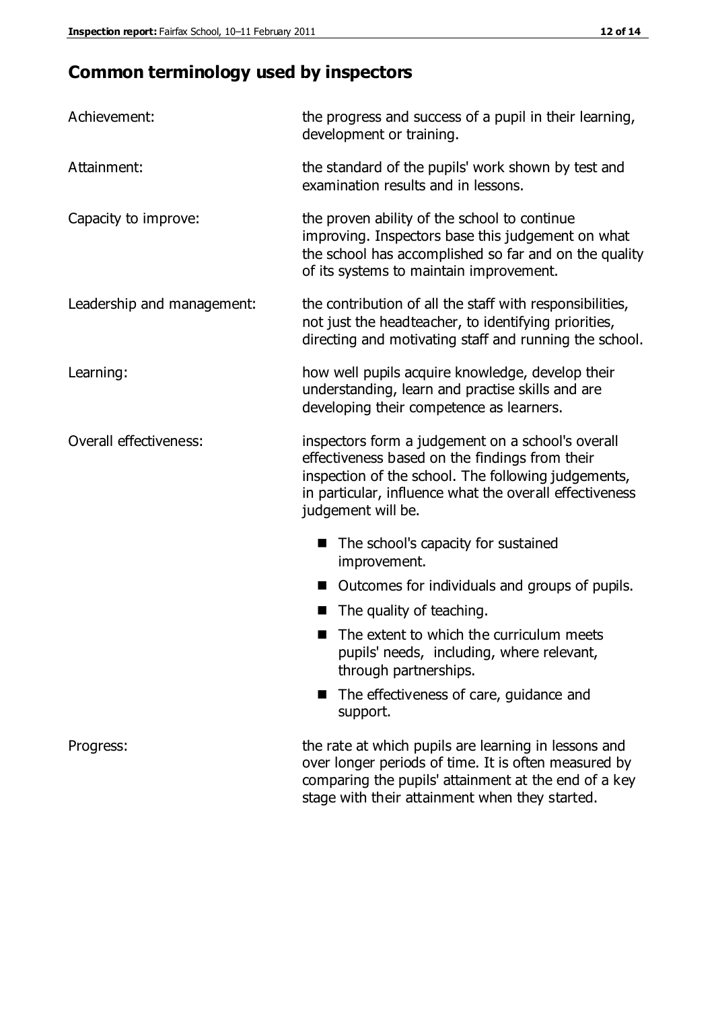## **Common terminology used by inspectors**

| Achievement:               | the progress and success of a pupil in their learning,<br>development or training.                                                                                                                                                          |  |  |
|----------------------------|---------------------------------------------------------------------------------------------------------------------------------------------------------------------------------------------------------------------------------------------|--|--|
| Attainment:                | the standard of the pupils' work shown by test and<br>examination results and in lessons.                                                                                                                                                   |  |  |
| Capacity to improve:       | the proven ability of the school to continue<br>improving. Inspectors base this judgement on what<br>the school has accomplished so far and on the quality<br>of its systems to maintain improvement.                                       |  |  |
| Leadership and management: | the contribution of all the staff with responsibilities,<br>not just the headteacher, to identifying priorities,<br>directing and motivating staff and running the school.                                                                  |  |  |
| Learning:                  | how well pupils acquire knowledge, develop their<br>understanding, learn and practise skills and are<br>developing their competence as learners.                                                                                            |  |  |
| Overall effectiveness:     | inspectors form a judgement on a school's overall<br>effectiveness based on the findings from their<br>inspection of the school. The following judgements,<br>in particular, influence what the overall effectiveness<br>judgement will be. |  |  |
|                            | The school's capacity for sustained<br>improvement.                                                                                                                                                                                         |  |  |
|                            | Outcomes for individuals and groups of pupils.                                                                                                                                                                                              |  |  |
|                            | The quality of teaching.                                                                                                                                                                                                                    |  |  |
|                            | The extent to which the curriculum meets<br>pupils' needs, including, where relevant,<br>through partnerships.                                                                                                                              |  |  |
|                            | The effectiveness of care, guidance and<br>support.                                                                                                                                                                                         |  |  |
| Progress:                  | the rate at which pupils are learning in lessons and<br>over longer periods of time. It is often measured by<br>comparing the pupils' attainment at the end of a key                                                                        |  |  |

stage with their attainment when they started.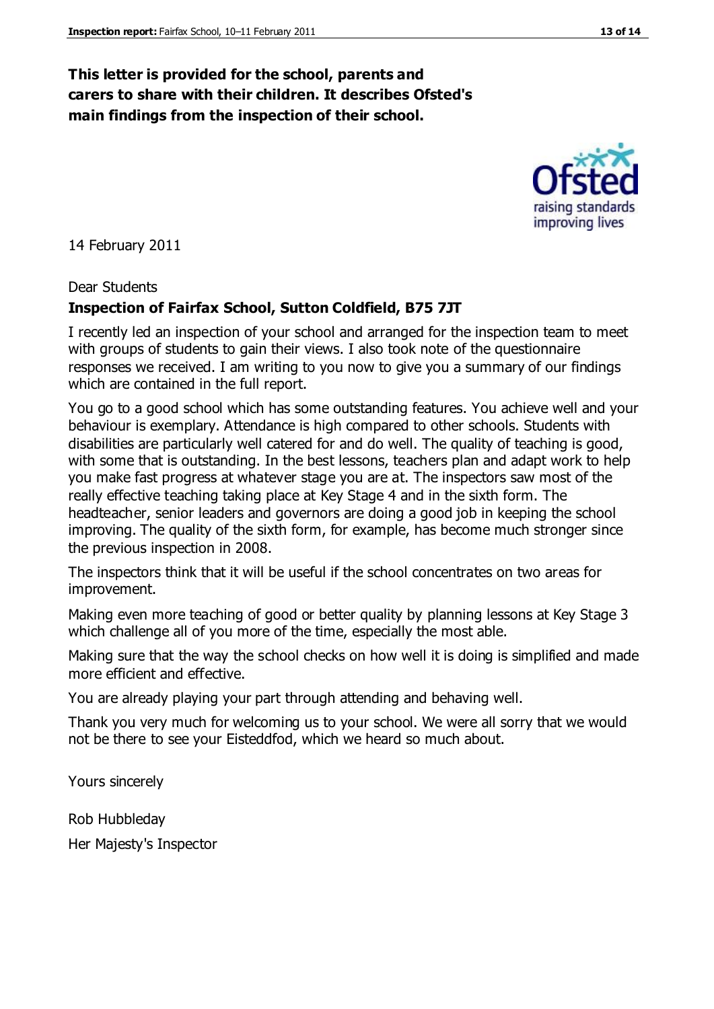## **This letter is provided for the school, parents and carers to share with their children. It describes Ofsted's main findings from the inspection of their school.**

14 February 2011

### Dear Students

## **Inspection of Fairfax School, Sutton Coldfield, B75 7JT**

I recently led an inspection of your school and arranged for the inspection team to meet with groups of students to gain their views. I also took note of the questionnaire responses we received. I am writing to you now to give you a summary of our findings which are contained in the full report.

You go to a good school which has some outstanding features. You achieve well and your behaviour is exemplary. Attendance is high compared to other schools. Students with disabilities are particularly well catered for and do well. The quality of teaching is good, with some that is outstanding. In the best lessons, teachers plan and adapt work to help you make fast progress at whatever stage you are at. The inspectors saw most of the really effective teaching taking place at Key Stage 4 and in the sixth form. The headteacher, senior leaders and governors are doing a good job in keeping the school improving. The quality of the sixth form, for example, has become much stronger since the previous inspection in 2008.

The inspectors think that it will be useful if the school concentrates on two areas for improvement.

Making even more teaching of good or better quality by planning lessons at Key Stage 3 which challenge all of you more of the time, especially the most able.

Making sure that the way the school checks on how well it is doing is simplified and made more efficient and effective.

You are already playing your part through attending and behaving well.

Thank you very much for welcoming us to your school. We were all sorry that we would not be there to see your Eisteddfod, which we heard so much about.

Yours sincerely

Rob Hubbleday Her Majesty's Inspector